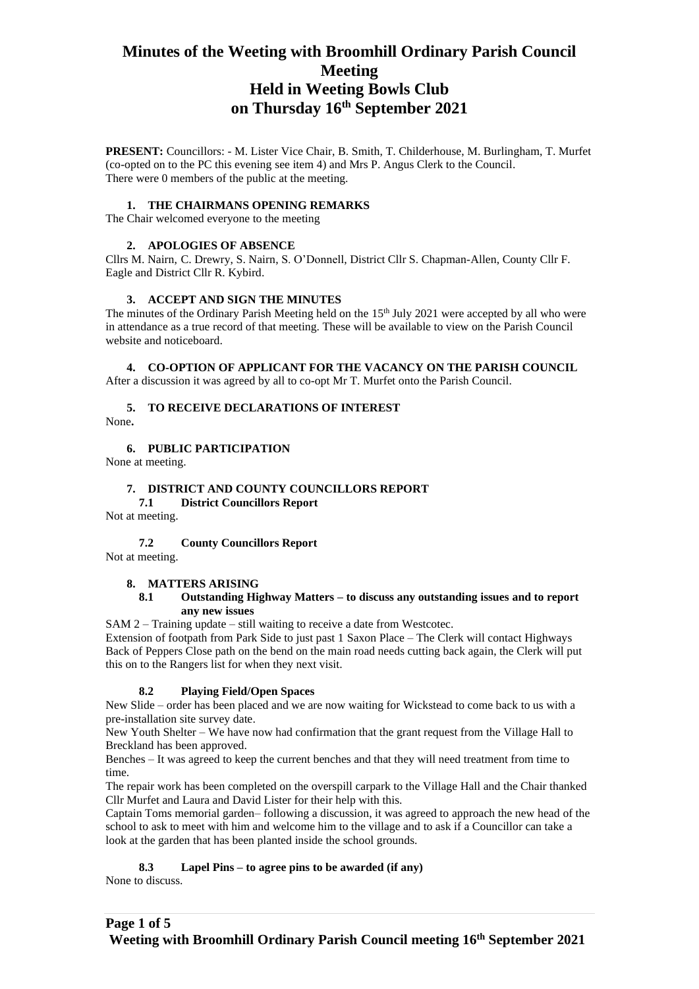# **Minutes of the Weeting with Broomhill Ordinary Parish Council Meeting Held in Weeting Bowls Club on Thursday 16th September 2021**

**PRESENT:** Councillors: - M. Lister Vice Chair, B. Smith, T. Childerhouse, M. Burlingham, T. Murfet (co-opted on to the PC this evening see item 4) and Mrs P. Angus Clerk to the Council. There were 0 members of the public at the meeting.

#### **1. THE CHAIRMANS OPENING REMARKS**

The Chair welcomed everyone to the meeting

#### **2. APOLOGIES OF ABSENCE**

Cllrs M. Nairn, C. Drewry, S. Nairn, S. O'Donnell, District Cllr S. Chapman-Allen, County Cllr F. Eagle and District Cllr R. Kybird.

#### **3. ACCEPT AND SIGN THE MINUTES**

The minutes of the Ordinary Parish Meeting held on the  $15<sup>th</sup>$  July 2021 were accepted by all who were in attendance as a true record of that meeting. These will be available to view on the Parish Council website and noticeboard.

# **4. CO-OPTION OF APPLICANT FOR THE VACANCY ON THE PARISH COUNCIL**

After a discussion it was agreed by all to co-opt Mr T. Murfet onto the Parish Council.

### **5. TO RECEIVE DECLARATIONS OF INTEREST**

None**.**

#### **6. PUBLIC PARTICIPATION**

None at meeting.

#### **7. DISTRICT AND COUNTY COUNCILLORS REPORT**

**7.1 District Councillors Report**

Not at meeting.

#### **7.2 County Councillors Report**

Not at meeting.

#### **8. MATTERS ARISING**

#### **8.1 Outstanding Highway Matters – to discuss any outstanding issues and to report any new issues**

SAM 2 – Training update – still waiting to receive a date from Westcotec.

Extension of footpath from Park Side to just past 1 Saxon Place – The Clerk will contact Highways Back of Peppers Close path on the bend on the main road needs cutting back again, the Clerk will put this on to the Rangers list for when they next visit.

### **8.2 Playing Field/Open Spaces**

New Slide – order has been placed and we are now waiting for Wickstead to come back to us with a pre-installation site survey date.

New Youth Shelter – We have now had confirmation that the grant request from the Village Hall to Breckland has been approved.

Benches – It was agreed to keep the current benches and that they will need treatment from time to time.

The repair work has been completed on the overspill carpark to the Village Hall and the Chair thanked Cllr Murfet and Laura and David Lister for their help with this.

Captain Toms memorial garden– following a discussion, it was agreed to approach the new head of the school to ask to meet with him and welcome him to the village and to ask if a Councillor can take a look at the garden that has been planted inside the school grounds.

**8.3 Lapel Pins – to agree pins to be awarded (if any)** None to discuss.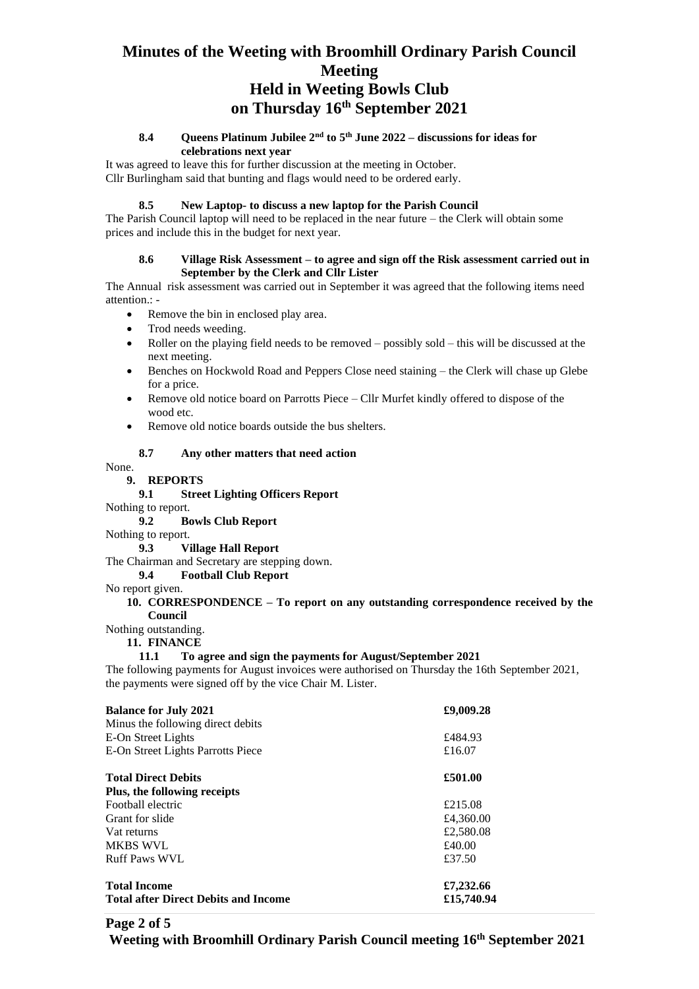# **Minutes of the Weeting with Broomhill Ordinary Parish Council Meeting Held in Weeting Bowls Club on Thursday 16th September 2021**

# **8.4 Queens Platinum Jubilee 2nd to 5th June 2022 – discussions for ideas for celebrations next year**

It was agreed to leave this for further discussion at the meeting in October. Cllr Burlingham said that bunting and flags would need to be ordered early.

# **8.5 New Laptop- to discuss a new laptop for the Parish Council**

The Parish Council laptop will need to be replaced in the near future – the Clerk will obtain some prices and include this in the budget for next year.

### **8.6 Village Risk Assessment – to agree and sign off the Risk assessment carried out in September by the Clerk and Cllr Lister**

The Annual risk assessment was carried out in September it was agreed that the following items need attention.: -

- Remove the bin in enclosed play area.
- Trod needs weeding.
- Roller on the playing field needs to be removed possibly sold this will be discussed at the next meeting.
- Benches on Hockwold Road and Peppers Close need staining the Clerk will chase up Glebe for a price.
- Remove old notice board on Parrotts Piece Cllr Murfet kindly offered to dispose of the wood etc.
- Remove old notice boards outside the bus shelters.

# **8.7 Any other matters that need action**

None.

# **9. REPORTS**

# **9.1 Street Lighting Officers Report**

- Nothing to report.
	- **9.2 Bowls Club Report**
- Nothing to report.

**9.3 Village Hall Report**

The Chairman and Secretary are stepping down.

**9.4 Football Club Report**

No report given.

#### **10. CORRESPONDENCE – To report on any outstanding correspondence received by the Council**

Nothing outstanding.

**11. FINANCE**

### **11.1 To agree and sign the payments for August/September 2021**

The following payments for August invoices were authorised on Thursday the 16th September 2021, the payments were signed off by the vice Chair M. Lister.

| <b>Balance for July 2021</b>                | £9,009.28  |  |
|---------------------------------------------|------------|--|
| Minus the following direct debits           |            |  |
| E-On Street Lights                          | £484.93    |  |
| E-On Street Lights Parrotts Piece           | £16.07     |  |
| <b>Total Direct Debits</b>                  | £501.00    |  |
| Plus, the following receipts                |            |  |
| Football electric                           | £215.08    |  |
| Grant for slide                             | £4,360.00  |  |
| Vat returns                                 | £2,580.08  |  |
| <b>MKBS WVL</b>                             | £40.00     |  |
| <b>Ruff Paws WVL</b>                        | £37.50     |  |
| <b>Total Income</b>                         | £7,232.66  |  |
| <b>Total after Direct Debits and Income</b> | £15,740.94 |  |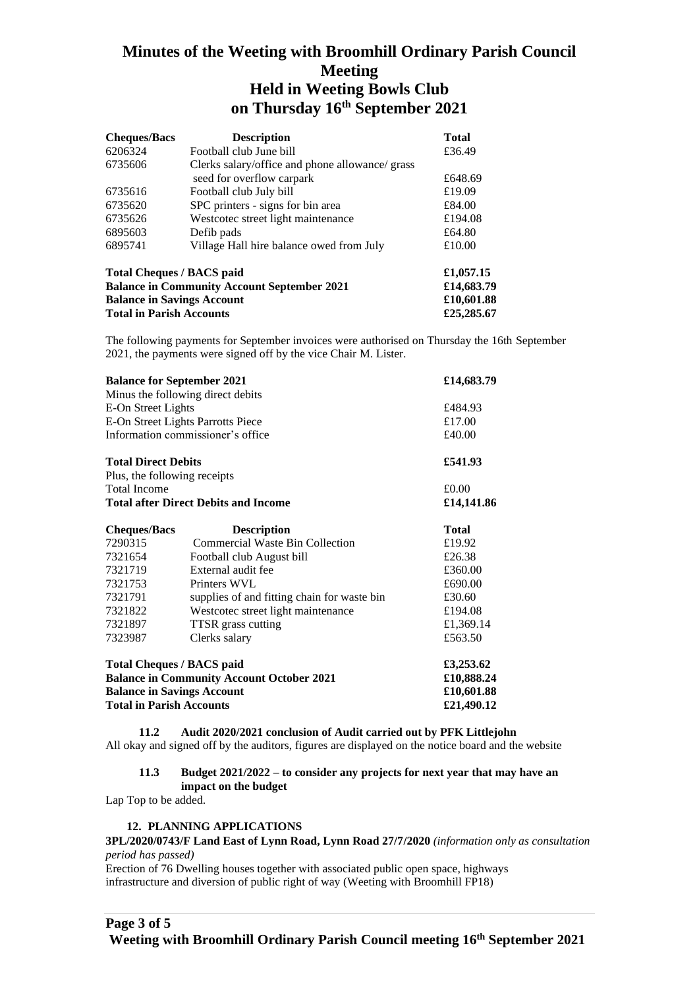# **Minutes of the Weeting with Broomhill Ordinary Parish Council Meeting Held in Weeting Bowls Club on Thursday 16th September 2021**

| <b>Cheques/Bacs</b>                                | <b>Description</b>                              | <b>Total</b> |
|----------------------------------------------------|-------------------------------------------------|--------------|
| 6206324                                            | Football club June bill                         | £36.49       |
| 6735606                                            | Clerks salary/office and phone allowance/ grass |              |
|                                                    | seed for overflow carpark                       | £648.69      |
| 6735616                                            | Football club July bill                         | £19.09       |
| 6735620                                            | SPC printers - signs for bin area               | £84.00       |
| 6735626                                            | Westcotec street light maintenance              | £194.08      |
| 6895603                                            | Defib pads                                      | £64.80       |
| 6895741                                            | Village Hall hire balance owed from July        | £10.00       |
| <b>Total Cheques / BACS paid</b>                   | £1,057.15                                       |              |
| <b>Balance in Community Account September 2021</b> | £14,683.79                                      |              |
| <b>Balance in Savings Account</b>                  | £10,601.88                                      |              |
| <b>Total in Parish Accounts</b>                    | £25,285.67                                      |              |

The following payments for September invoices were authorised on Thursday the 16th September 2021, the payments were signed off by the vice Chair M. Lister.

| <b>Balance for September 2021</b>                |                                             | £14,683.79   |
|--------------------------------------------------|---------------------------------------------|--------------|
|                                                  | Minus the following direct debits           |              |
| E-On Street Lights                               | £484.93                                     |              |
| E-On Street Lights Parrotts Piece                |                                             | £17.00       |
| Information commissioner's office                |                                             | £40.00       |
| <b>Total Direct Debits</b>                       |                                             | £541.93      |
| Plus, the following receipts                     |                                             |              |
| <b>Total Income</b>                              |                                             | £0.00        |
| <b>Total after Direct Debits and Income</b>      |                                             | £14,141.86   |
| <b>Cheques/Bacs</b>                              | <b>Description</b>                          | <b>Total</b> |
| 7290315                                          | <b>Commercial Waste Bin Collection</b>      | £19.92       |
| 7321654                                          | Football club August bill                   | £26.38       |
| 7321719                                          | External audit fee                          | £360.00      |
| 7321753                                          | Printers WVL                                | £690.00      |
| 7321791                                          | supplies of and fitting chain for waste bin | £30.60       |
| 7321822                                          | Westcotec street light maintenance          | £194.08      |
| 7321897                                          | TTSR grass cutting                          | £1,369.14    |
| 7323987                                          | Clerks salary                               | £563.50      |
| <b>Total Cheques / BACS paid</b>                 |                                             | £3,253.62    |
| <b>Balance in Community Account October 2021</b> |                                             | £10,888.24   |
| <b>Balance in Savings Account</b>                | £10,601.88                                  |              |
| <b>Total in Parish Accounts</b>                  |                                             | £21,490.12   |

**11.2 Audit 2020/2021 conclusion of Audit carried out by PFK Littlejohn** All okay and signed off by the auditors, figures are displayed on the notice board and the website

### **11.3 Budget 2021/2022 – to consider any projects for next year that may have an impact on the budget**

Lap Top to be added.

### **12. PLANNING APPLICATIONS**

# **3PL/2020/0743/F Land East of Lynn Road, Lynn Road 27/7/2020** *(information only as consultation period has passed)*

Erection of 76 Dwelling houses together with associated public open space, highways infrastructure and diversion of public right of way (Weeting with Broomhill FP18)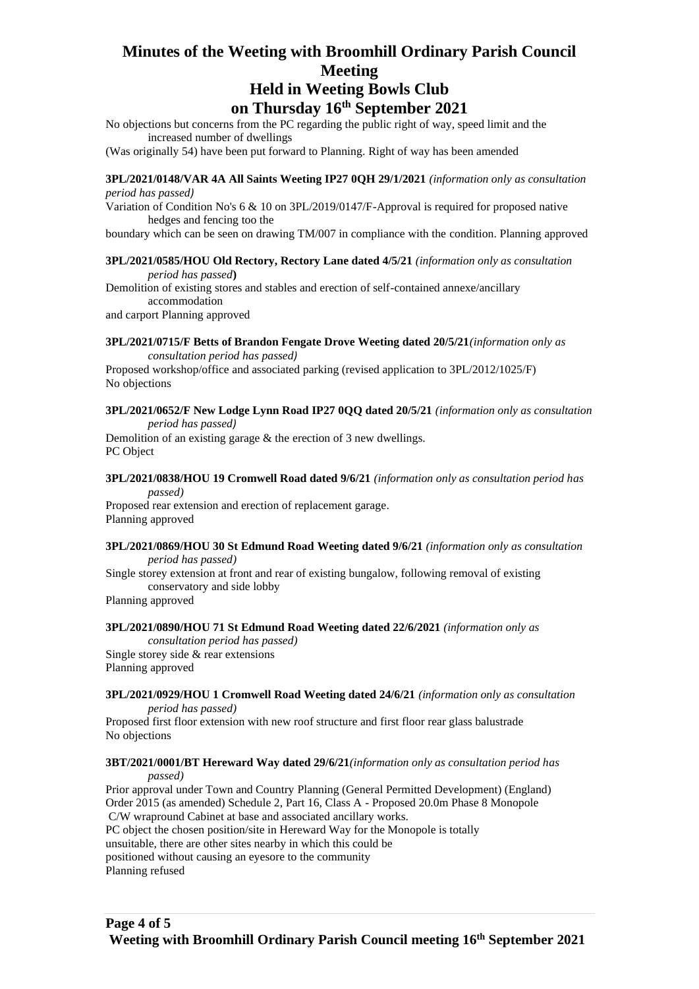# **Minutes of the Weeting with Broomhill Ordinary Parish Council Meeting**

# **Held in Weeting Bowls Club on Thursday 16th September 2021**

No objections but concerns from the PC regarding the public right of way, speed limit and the increased number of dwellings

(Was originally 54) have been put forward to Planning. Right of way has been amended

**3PL/2021/0148/VAR 4A All Saints Weeting IP27 0QH 29/1/2021** *(information only as consultation period has passed)*

Variation of Condition No's 6 & 10 on 3PL/2019/0147/F-Approval is required for proposed native hedges and fencing too the

boundary which can be seen on drawing TM/007 in compliance with the condition. Planning approved

#### **3PL/2021/0585/HOU Old Rectory, Rectory Lane dated 4/5/21** *(information only as consultation period has passed***)**

Demolition of existing stores and stables and erection of self-contained annexe/ancillary accommodation

and carport Planning approved

#### **3PL/2021/0715/F Betts of Brandon Fengate Drove Weeting dated 20/5/21***(information only as consultation period has passed)*

Proposed workshop/office and associated parking (revised application to 3PL/2012/1025/F) No objections

#### **3PL/2021/0652/F New Lodge Lynn Road IP27 0QQ dated 20/5/21** *(information only as consultation period has passed)*

Demolition of an existing garage & the erection of 3 new dwellings. PC Object

# **3PL/2021/0838/HOU 19 Cromwell Road dated 9/6/21** *(information only as consultation period has passed)*

Proposed rear extension and erection of replacement garage. Planning approved

#### **3PL/2021/0869/HOU 30 St Edmund Road Weeting dated 9/6/21** *(information only as consultation period has passed)*

Single storey extension at front and rear of existing bungalow, following removal of existing conservatory and side lobby

Planning approved

### **3PL/2021/0890/HOU 71 St Edmund Road Weeting dated 22/6/2021** *(information only as*

*consultation period has passed)* Single storey side & rear extensions Planning approved

### **3PL/2021/0929/HOU 1 Cromwell Road Weeting dated 24/6/21** *(information only as consultation*

*period has passed)*

Proposed first floor extension with new roof structure and first floor rear glass balustrade No objections

#### **3BT/2021/0001/BT Hereward Way dated 29/6/21***(information only as consultation period has passed)*

Prior approval under Town and Country Planning (General Permitted Development) (England) Order 2015 (as amended) Schedule 2, Part 16, Class A - Proposed 20.0m Phase 8 Monopole C/W wrapround Cabinet at base and associated ancillary works. PC object the chosen position/site in Hereward Way for the Monopole is totally unsuitable, there are other sites nearby in which this could be positioned without causing an eyesore to the community Planning refused